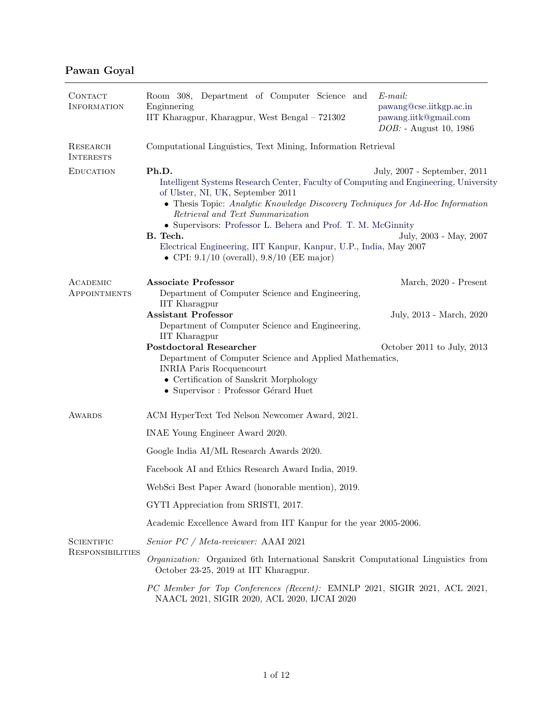## Pawan Goyal

| CONTACT<br>INFORMATION                | Room 308, Department of Computer Science and<br>Enginnering<br>IIT Kharagpur, Kharagpur, West Bengal - 721302                                                                                                                                                                                                                                                                                                                                                                                                          | $E$ -mail:<br>pawang@cse.iitkgp.ac.in<br>pawang.iitk@gmail.com<br>DOB: - August 10, 1986 |  |
|---------------------------------------|------------------------------------------------------------------------------------------------------------------------------------------------------------------------------------------------------------------------------------------------------------------------------------------------------------------------------------------------------------------------------------------------------------------------------------------------------------------------------------------------------------------------|------------------------------------------------------------------------------------------|--|
| RESEARCH<br><b>INTERESTS</b>          | Computational Linguistics, Text Mining, Information Retrieval                                                                                                                                                                                                                                                                                                                                                                                                                                                          |                                                                                          |  |
| <b>EDUCATION</b>                      | Ph.D.<br>July, 2007 - September, 2011<br>Intelligent Systems Research Center, Faculty of Computing and Engineering, University<br>of Ulster, NI, UK, September 2011<br>• Thesis Topic: Analytic Knowledge Discovery Techniques for Ad-Hoc Information<br>Retrieval and Text Summarization<br>• Supervisors: Professor L. Behera and Prof. T. M. McGinnity<br>B. Tech.<br>July, 2003 - May, 2007<br>Electrical Engineering, IIT Kanpur, Kanpur, U.P., India, May 2007<br>• CPI: $9.1/10$ (overall), $9.8/10$ (EE major) |                                                                                          |  |
| ACADEMIC<br><b>APPOINTMENTS</b>       | <b>Associate Professor</b><br>Department of Computer Science and Engineering,<br><b>IIT</b> Kharagpur                                                                                                                                                                                                                                                                                                                                                                                                                  | March, 2020 - Present                                                                    |  |
|                                       | <b>Assistant Professor</b><br>Department of Computer Science and Engineering,                                                                                                                                                                                                                                                                                                                                                                                                                                          | July, 2013 - March, 2020                                                                 |  |
|                                       | <b>IIT</b> Kharagpur<br><b>Postdoctoral Researcher</b><br>Department of Computer Science and Applied Mathematics,<br><b>INRIA Paris Rocquencourt</b><br>• Certification of Sanskrit Morphology<br>• Supervisor : Professor Gérard Huet                                                                                                                                                                                                                                                                                 | October 2011 to July, 2013                                                               |  |
| <b>AWARDS</b>                         | ACM HyperText Ted Nelson Newcomer Award, 2021.                                                                                                                                                                                                                                                                                                                                                                                                                                                                         |                                                                                          |  |
|                                       | INAE Young Engineer Award 2020.                                                                                                                                                                                                                                                                                                                                                                                                                                                                                        |                                                                                          |  |
|                                       | Google India AI/ML Research Awards 2020.                                                                                                                                                                                                                                                                                                                                                                                                                                                                               |                                                                                          |  |
|                                       | Facebook AI and Ethics Research Award India, 2019.                                                                                                                                                                                                                                                                                                                                                                                                                                                                     |                                                                                          |  |
|                                       | WebSci Best Paper Award (honorable mention), 2019.                                                                                                                                                                                                                                                                                                                                                                                                                                                                     |                                                                                          |  |
|                                       | GYTI Appreciation from SRISTI, 2017.                                                                                                                                                                                                                                                                                                                                                                                                                                                                                   |                                                                                          |  |
|                                       | Academic Excellence Award from IIT Kanpur for the year 2005-2006.                                                                                                                                                                                                                                                                                                                                                                                                                                                      |                                                                                          |  |
| <b>SCIENTIFIC</b><br>RESPONSIBILITIES | Senior PC / Meta-reviewer: AAAI 2021                                                                                                                                                                                                                                                                                                                                                                                                                                                                                   |                                                                                          |  |
|                                       | <i>Organization:</i> Organized 6th International Sanskrit Computational Linguistics from<br>October 23-25, 2019 at IIT Kharagpur.                                                                                                                                                                                                                                                                                                                                                                                      |                                                                                          |  |
|                                       | PC Member for Top Conferences (Recent): EMNLP 2021, SIGIR 2021, ACL 2021,<br>NAACL 2021, SIGIR 2020, ACL 2020, IJCAI 2020                                                                                                                                                                                                                                                                                                                                                                                              |                                                                                          |  |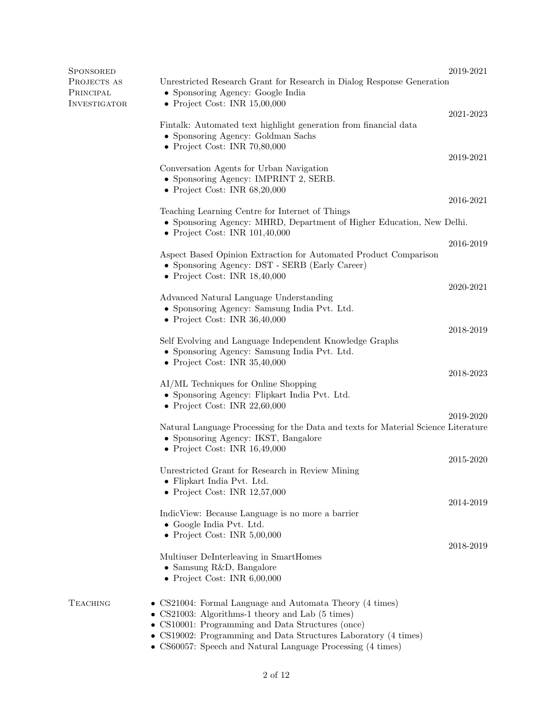| <b>SPONSORED</b>         |                                                                                                                                                               | 2019-2021     |
|--------------------------|---------------------------------------------------------------------------------------------------------------------------------------------------------------|---------------|
| PROJECTS AS<br>PRINCIPAL | Unrestricted Research Grant for Research in Dialog Response Generation<br>• Sponsoring Agency: Google India                                                   |               |
| INVESTIGATOR             | • Project Cost: INR $15,00,000$                                                                                                                               | 2021-2023     |
|                          | Fintalk: Automated text highlight generation from financial data                                                                                              |               |
|                          | • Sponsoring Agency: Goldman Sachs<br>$\bullet$ Project Cost: INR 70,80,000                                                                                   |               |
|                          |                                                                                                                                                               | 2019-2021     |
|                          | Conversation Agents for Urban Navigation<br>• Sponsoring Agency: IMPRINT 2, SERB.                                                                             |               |
|                          | • Project Cost: INR $68,20,000$                                                                                                                               | $2016 - 2021$ |
|                          | Teaching Learning Centre for Internet of Things<br>• Sponsoring Agency: MHRD, Department of Higher Education, New Delhi.                                      |               |
|                          | • Project Cost: INR $101,40,000$                                                                                                                              | 2016-2019     |
|                          | Aspect Based Opinion Extraction for Automated Product Comparison<br>• Sponsoring Agency: DST - SERB (Early Career)                                            |               |
|                          | • Project Cost: INR $18,40,000$                                                                                                                               | 2020-2021     |
|                          | Advanced Natural Language Understanding                                                                                                                       |               |
|                          | • Sponsoring Agency: Samsung India Pvt. Ltd.<br>• Project Cost: INR $36,40,000$                                                                               |               |
|                          |                                                                                                                                                               | 2018-2019     |
|                          | Self Evolving and Language Independent Knowledge Graphs<br>• Sponsoring Agency: Samsung India Pvt. Ltd.<br>• Project Cost: INR $35,40,000$                    |               |
|                          |                                                                                                                                                               | 2018-2023     |
|                          | AI/ML Techniques for Online Shopping<br>• Sponsoring Agency: Flipkart India Pvt. Ltd.<br>• Project Cost: INR $22,60,000$                                      |               |
|                          |                                                                                                                                                               | 2019-2020     |
|                          | Natural Language Processing for the Data and texts for Material Science Literature<br>• Sponsoring Agency: IKST, Bangalore<br>• Project Cost: INR $16,49,000$ |               |
|                          |                                                                                                                                                               | 2015-2020     |
|                          | Unrestricted Grant for Research in Review Mining<br>• Flipkart India Pvt. Ltd.                                                                                |               |
|                          | • Project Cost: INR $12,57,000$                                                                                                                               | 2014-2019     |
|                          | IndicView: Because Language is no more a barrier<br>• Google India Pvt. Ltd.                                                                                  |               |
|                          | • Project Cost: INR $5,00,000$                                                                                                                                |               |
|                          | Multiuser DeInterleaving in SmartHomes                                                                                                                        | 2018-2019     |
|                          | • Samsung R&D, Bangalore<br>• Project Cost: INR $6,00,000$                                                                                                    |               |
| <b>TEACHING</b>          | • CS21004: Formal Language and Automata Theory (4 times)                                                                                                      |               |
|                          | • CS21003: Algorithms-1 theory and Lab $(5 \text{ times})$<br>• CS10001: Programming and Data Structures (once)                                               |               |
|                          | • CS19002: Programming and Data Structures Laboratory (4 times)<br>• CS60057: Speech and Natural Language Processing (4 times)                                |               |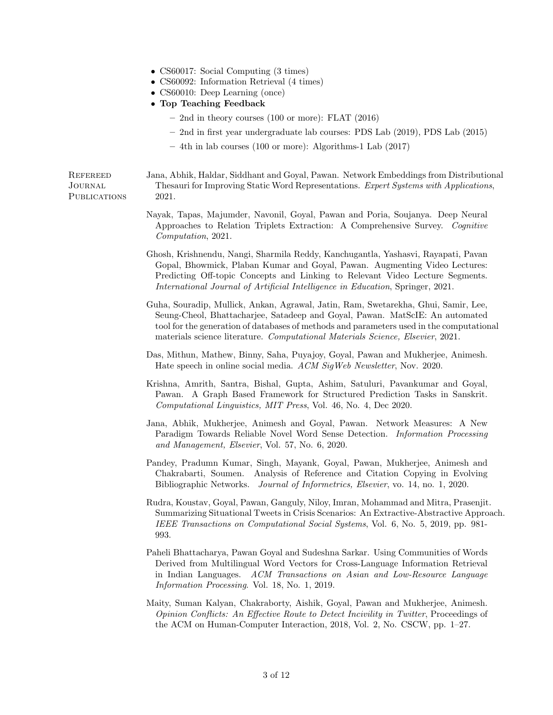- CS60017: Social Computing (3 times)
- CS60092: Information Retrieval (4 times)
- CS60010: Deep Learning (once)
- Top Teaching Feedback
	- 2nd in theory courses (100 or more): FLAT (2016)
	- 2nd in first year undergraduate lab courses: PDS Lab (2019), PDS Lab (2015)
	- 4th in lab courses (100 or more): Algorithms-1 Lab (2017)

**REFEREED** Journal **PUBLICATIONS**  Jana, Abhik, Haldar, Siddhant and Goyal, Pawan. Network Embeddings from Distributional Thesauri for Improving Static Word Representations. Expert Systems with Applications, 2021.

- Nayak, Tapas, Majumder, Navonil, Goyal, Pawan and Poria, Soujanya. Deep Neural Approaches to Relation Triplets Extraction: A Comprehensive Survey. Cognitive Computation, 2021.
- Ghosh, Krishnendu, Nangi, Sharmila Reddy, Kanchugantla, Yashasvi, Rayapati, Pavan Gopal, Bhowmick, Plaban Kumar and Goyal, Pawan. Augmenting Video Lectures: Predicting Off-topic Concepts and Linking to Relevant Video Lecture Segments. International Journal of Artificial Intelligence in Education, Springer, 2021.
- Guha, Souradip, Mullick, Ankan, Agrawal, Jatin, Ram, Swetarekha, Ghui, Samir, Lee, Seung-Cheol, Bhattacharjee, Satadeep and Goyal, Pawan. MatScIE: An automated tool for the generation of databases of methods and parameters used in the computational materials science literature. Computational Materials Science, Elsevier, 2021.
- Das, Mithun, Mathew, Binny, Saha, Puyajoy, Goyal, Pawan and Mukherjee, Animesh. Hate speech in online social media. ACM SigWeb Newsletter, Nov. 2020.
- Krishna, Amrith, Santra, Bishal, Gupta, Ashim, Satuluri, Pavankumar and Goyal, Pawan. A Graph Based Framework for Structured Prediction Tasks in Sanskrit. Computational Linguistics, MIT Press, Vol. 46, No. 4, Dec 2020.
- Jana, Abhik, Mukherjee, Animesh and Goyal, Pawan. Network Measures: A New Paradigm Towards Reliable Novel Word Sense Detection. Information Processing and Management, Elsevier, Vol. 57, No. 6, 2020.
- Pandey, Pradumn Kumar, Singh, Mayank, Goyal, Pawan, Mukherjee, Animesh and Chakrabarti, Soumen. Analysis of Reference and Citation Copying in Evolving Bibliographic Networks. Journal of Informetrics, Elsevier, vo. 14, no. 1, 2020.
- Rudra, Koustav, Goyal, Pawan, Ganguly, Niloy, Imran, Mohammad and Mitra, Prasenjit. Summarizing Situational Tweets in Crisis Scenarios: An Extractive-Abstractive Approach. IEEE Transactions on Computational Social Systems, Vol. 6, No. 5, 2019, pp. 981- 993.
- Paheli Bhattacharya, Pawan Goyal and Sudeshna Sarkar. Using Communities of Words Derived from Multilingual Word Vectors for Cross-Language Information Retrieval in Indian Languages. ACM Transactions on Asian and Low-Resource Language Information Processing. Vol. 18, No. 1, 2019.
- Maity, Suman Kalyan, Chakraborty, Aishik, Goyal, Pawan and Mukherjee, Animesh. Opinion Conflicts: An Effective Route to Detect Incivility in Twitter, Proceedings of the ACM on Human-Computer Interaction, 2018, Vol. 2, No. CSCW, pp. 1–27.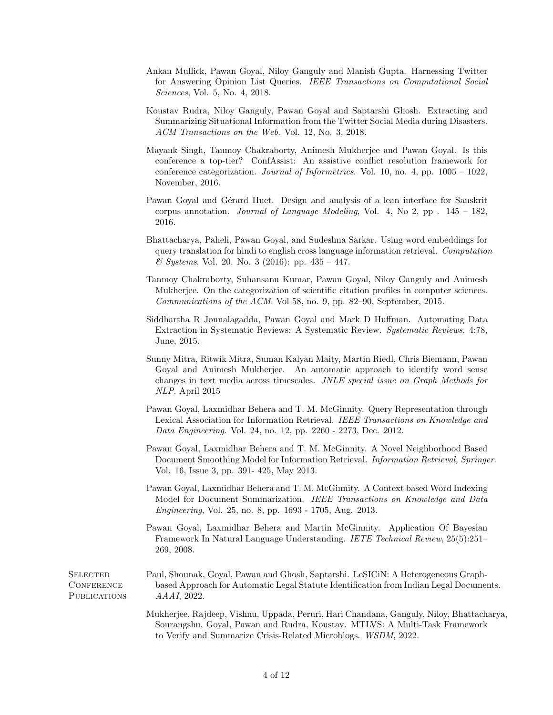- Ankan Mullick, Pawan Goyal, Niloy Ganguly and Manish Gupta. Harnessing Twitter for Answering Opinion List Queries. IEEE Transactions on Computational Social Sciences, Vol. 5, No. 4, 2018.
- Koustav Rudra, Niloy Ganguly, Pawan Goyal and Saptarshi Ghosh. Extracting and Summarizing Situational Information from the Twitter Social Media during Disasters. ACM Transactions on the Web. Vol. 12, No. 3, 2018.
- Mayank Singh, Tanmoy Chakraborty, Animesh Mukherjee and Pawan Goyal. Is this conference a top-tier? ConfAssist: An assistive conflict resolution framework for conference categorization. Journal of Informetrics. Vol. 10, no. 4, pp. 1005 – 1022, November, 2016.
- Pawan Goyal and Gérard Huet. Design and analysis of a lean interface for Sanskrit corpus annotation. *Journal of Language Modeling*, Vol. 4, No 2, pp  $. 145 - 182$ , 2016.
- Bhattacharya, Paheli, Pawan Goyal, and Sudeshna Sarkar. Using word embeddings for query translation for hindi to english cross language information retrieval. Computation  $\&$  Systems, Vol. 20. No. 3 (2016): pp. 435 – 447.
- Tanmoy Chakraborty, Suhansanu Kumar, Pawan Goyal, Niloy Ganguly and Animesh Mukherjee. On the categorization of scientific citation profiles in computer sciences. Communications of the ACM. Vol 58, no. 9, pp. 82–90, September, 2015.
- Siddhartha R Jonnalagadda, Pawan Goyal and Mark D Huffman. Automating Data Extraction in Systematic Reviews: A Systematic Review. Systematic Reviews. 4:78, June, 2015.
- Sunny Mitra, Ritwik Mitra, Suman Kalyan Maity, Martin Riedl, Chris Biemann, Pawan Goyal and Animesh Mukherjee. An automatic approach to identify word sense changes in text media across timescales. JNLE special issue on Graph Methods for NLP. April 2015
- Pawan Goyal, Laxmidhar Behera and T. M. McGinnity. Query Representation through Lexical Association for Information Retrieval. IEEE Transactions on Knowledge and Data Engineering. Vol. 24, no. 12, pp. 2260 - 2273, Dec. 2012.
- Pawan Goyal, Laxmidhar Behera and T. M. McGinnity. A Novel Neighborhood Based Document Smoothing Model for Information Retrieval. Information Retrieval, Springer. Vol. 16, Issue 3, pp. 391- 425, May 2013.
- Pawan Goyal, Laxmidhar Behera and T. M. McGinnity. A Context based Word Indexing Model for Document Summarization. IEEE Transactions on Knowledge and Data Engineering, Vol. 25, no. 8, pp. 1693 - 1705, Aug. 2013.
- Pawan Goyal, Laxmidhar Behera and Martin McGinnity. Application Of Bayesian Framework In Natural Language Understanding. IETE Technical Review, 25(5):251– 269, 2008.

**SELECTED CONFERENCE PUBLICATIONS** 

- Paul, Shounak, Goyal, Pawan and Ghosh, Saptarshi. LeSICiN: A Heterogeneous Graphbased Approach for Automatic Legal Statute Identification from Indian Legal Documents. AAAI, 2022.
	- Mukherjee, Rajdeep, Vishnu, Uppada, Peruri, Hari Chandana, Ganguly, Niloy, Bhattacharya, Sourangshu, Goyal, Pawan and Rudra, Koustav. MTLVS: A Multi-Task Framework to Verify and Summarize Crisis-Related Microblogs. WSDM, 2022.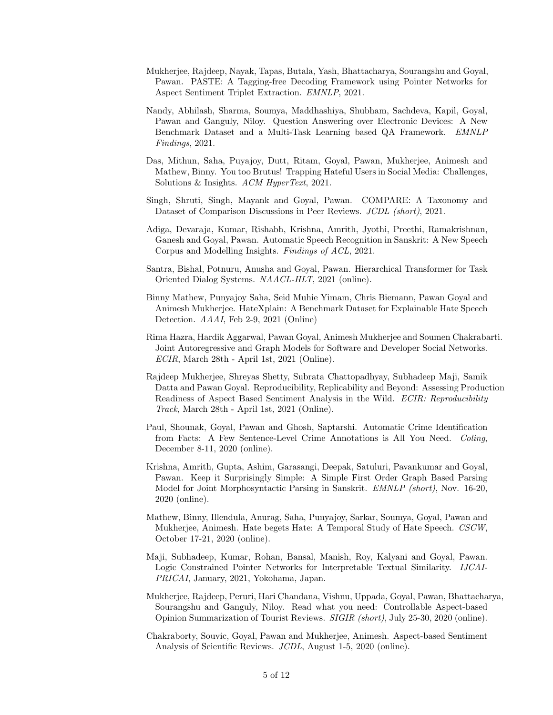- Mukherjee, Rajdeep, Nayak, Tapas, Butala, Yash, Bhattacharya, Sourangshu and Goyal, Pawan. PASTE: A Tagging-free Decoding Framework using Pointer Networks for Aspect Sentiment Triplet Extraction. EMNLP, 2021.
- Nandy, Abhilash, Sharma, Soumya, Maddhashiya, Shubham, Sachdeva, Kapil, Goyal, Pawan and Ganguly, Niloy. Question Answering over Electronic Devices: A New Benchmark Dataset and a Multi-Task Learning based QA Framework. EMNLP Findings, 2021.
- Das, Mithun, Saha, Puyajoy, Dutt, Ritam, Goyal, Pawan, Mukherjee, Animesh and Mathew, Binny. You too Brutus! Trapping Hateful Users in Social Media: Challenges, Solutions & Insights. ACM HyperText, 2021.
- Singh, Shruti, Singh, Mayank and Goyal, Pawan. COMPARE: A Taxonomy and Dataset of Comparison Discussions in Peer Reviews. JCDL (short), 2021.
- Adiga, Devaraja, Kumar, Rishabh, Krishna, Amrith, Jyothi, Preethi, Ramakrishnan, Ganesh and Goyal, Pawan. Automatic Speech Recognition in Sanskrit: A New Speech Corpus and Modelling Insights. Findings of ACL, 2021.
- Santra, Bishal, Potnuru, Anusha and Goyal, Pawan. Hierarchical Transformer for Task Oriented Dialog Systems. NAACL-HLT, 2021 (online).
- Binny Mathew, Punyajoy Saha, Seid Muhie Yimam, Chris Biemann, Pawan Goyal and Animesh Mukherjee. HateXplain: A Benchmark Dataset for Explainable Hate Speech Detection. AAAI, Feb 2-9, 2021 (Online)
- Rima Hazra, Hardik Aggarwal, Pawan Goyal, Animesh Mukherjee and Soumen Chakrabarti. Joint Autoregressive and Graph Models for Software and Developer Social Networks. ECIR, March 28th - April 1st, 2021 (Online).
- Rajdeep Mukherjee, Shreyas Shetty, Subrata Chattopadhyay, Subhadeep Maji, Samik Datta and Pawan Goyal. Reproducibility, Replicability and Beyond: Assessing Production Readiness of Aspect Based Sentiment Analysis in the Wild. ECIR: Reproducibility Track, March 28th - April 1st, 2021 (Online).
- Paul, Shounak, Goyal, Pawan and Ghosh, Saptarshi. Automatic Crime Identification from Facts: A Few Sentence-Level Crime Annotations is All You Need. Coling, December 8-11, 2020 (online).
- Krishna, Amrith, Gupta, Ashim, Garasangi, Deepak, Satuluri, Pavankumar and Goyal, Pawan. Keep it Surprisingly Simple: A Simple First Order Graph Based Parsing Model for Joint Morphosyntactic Parsing in Sanskrit. EMNLP (short), Nov. 16-20, 2020 (online).
- Mathew, Binny, Illendula, Anurag, Saha, Punyajoy, Sarkar, Soumya, Goyal, Pawan and Mukherjee, Animesh. Hate begets Hate: A Temporal Study of Hate Speech. CSCW, October 17-21, 2020 (online).
- Maji, Subhadeep, Kumar, Rohan, Bansal, Manish, Roy, Kalyani and Goyal, Pawan. Logic Constrained Pointer Networks for Interpretable Textual Similarity. IJCAI-PRICAI, January, 2021, Yokohama, Japan.
- Mukherjee, Rajdeep, Peruri, Hari Chandana, Vishnu, Uppada, Goyal, Pawan, Bhattacharya, Sourangshu and Ganguly, Niloy. Read what you need: Controllable Aspect-based Opinion Summarization of Tourist Reviews. SIGIR (short), July 25-30, 2020 (online).
- Chakraborty, Souvic, Goyal, Pawan and Mukherjee, Animesh. Aspect-based Sentiment Analysis of Scientific Reviews. JCDL, August 1-5, 2020 (online).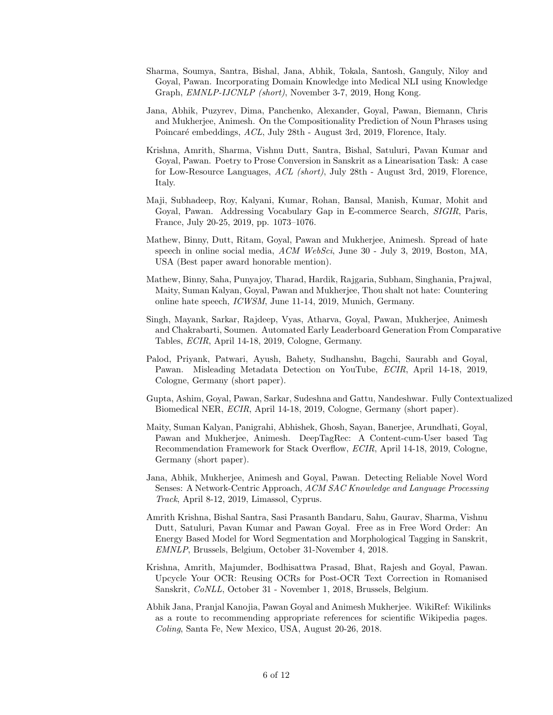- Sharma, Soumya, Santra, Bishal, Jana, Abhik, Tokala, Santosh, Ganguly, Niloy and Goyal, Pawan. Incorporating Domain Knowledge into Medical NLI using Knowledge Graph, EMNLP-IJCNLP (short), November 3-7, 2019, Hong Kong.
- Jana, Abhik, Puzyrev, Dima, Panchenko, Alexander, Goyal, Pawan, Biemann, Chris and Mukherjee, Animesh. On the Compositionality Prediction of Noun Phrases using Poincaré embeddings, ACL, July 28th - August 3rd, 2019, Florence, Italy.
- Krishna, Amrith, Sharma, Vishnu Dutt, Santra, Bishal, Satuluri, Pavan Kumar and Goyal, Pawan. Poetry to Prose Conversion in Sanskrit as a Linearisation Task: A case for Low-Resource Languages, ACL (short), July 28th - August 3rd, 2019, Florence, Italy.
- Maji, Subhadeep, Roy, Kalyani, Kumar, Rohan, Bansal, Manish, Kumar, Mohit and Goyal, Pawan. Addressing Vocabulary Gap in E-commerce Search, SIGIR, Paris, France, July 20-25, 2019, pp. 1073–1076.
- Mathew, Binny, Dutt, Ritam, Goyal, Pawan and Mukherjee, Animesh. Spread of hate speech in online social media, ACM WebSci, June 30 - July 3, 2019, Boston, MA, USA (Best paper award honorable mention).
- Mathew, Binny, Saha, Punyajoy, Tharad, Hardik, Rajgaria, Subham, Singhania, Prajwal, Maity, Suman Kalyan, Goyal, Pawan and Mukherjee, Thou shalt not hate: Countering online hate speech, ICWSM, June 11-14, 2019, Munich, Germany.
- Singh, Mayank, Sarkar, Rajdeep, Vyas, Atharva, Goyal, Pawan, Mukherjee, Animesh and Chakrabarti, Soumen. Automated Early Leaderboard Generation From Comparative Tables, ECIR, April 14-18, 2019, Cologne, Germany.
- Palod, Priyank, Patwari, Ayush, Bahety, Sudhanshu, Bagchi, Saurabh and Goyal, Pawan. Misleading Metadata Detection on YouTube, ECIR, April 14-18, 2019, Cologne, Germany (short paper).
- Gupta, Ashim, Goyal, Pawan, Sarkar, Sudeshna and Gattu, Nandeshwar. Fully Contextualized Biomedical NER, ECIR, April 14-18, 2019, Cologne, Germany (short paper).
- Maity, Suman Kalyan, Panigrahi, Abhishek, Ghosh, Sayan, Banerjee, Arundhati, Goyal, Pawan and Mukherjee, Animesh. DeepTagRec: A Content-cum-User based Tag Recommendation Framework for Stack Overflow, ECIR, April 14-18, 2019, Cologne, Germany (short paper).
- Jana, Abhik, Mukherjee, Animesh and Goyal, Pawan. Detecting Reliable Novel Word Senses: A Network-Centric Approach, ACM SAC Knowledge and Language Processing Track, April 8-12, 2019, Limassol, Cyprus.
- Amrith Krishna, Bishal Santra, Sasi Prasanth Bandaru, Sahu, Gaurav, Sharma, Vishnu Dutt, Satuluri, Pavan Kumar and Pawan Goyal. Free as in Free Word Order: An Energy Based Model for Word Segmentation and Morphological Tagging in Sanskrit, EMNLP, Brussels, Belgium, October 31-November 4, 2018.
- Krishna, Amrith, Majumder, Bodhisattwa Prasad, Bhat, Rajesh and Goyal, Pawan. Upcycle Your OCR: Reusing OCRs for Post-OCR Text Correction in Romanised Sanskrit, CoNLL, October 31 - November 1, 2018, Brussels, Belgium.
- Abhik Jana, Pranjal Kanojia, Pawan Goyal and Animesh Mukherjee. WikiRef: Wikilinks as a route to recommending appropriate references for scientific Wikipedia pages. Coling, Santa Fe, New Mexico, USA, August 20-26, 2018.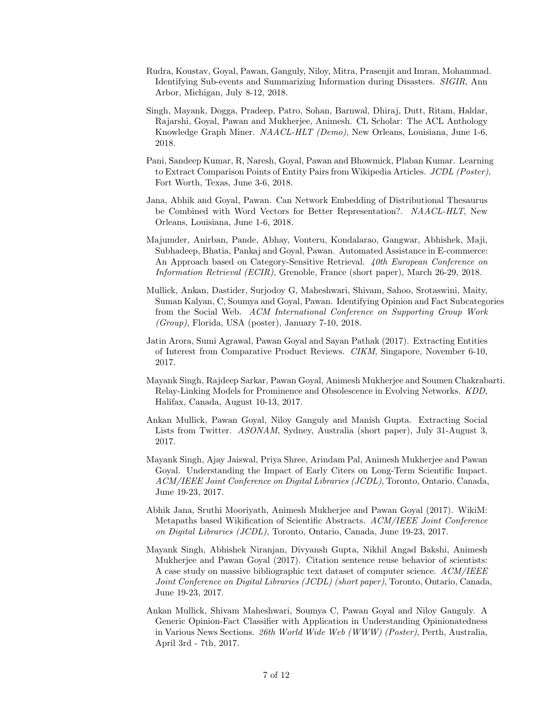- Rudra, Koustav, Goyal, Pawan, Ganguly, Niloy, Mitra, Prasenjit and Imran, Mohammad. Identifying Sub-events and Summarizing Information during Disasters. SIGIR, Ann Arbor, Michigan, July 8-12, 2018.
- Singh, Mayank, Dogga, Pradeep, Patro, Sohan, Barnwal, Dhiraj, Dutt, Ritam, Haldar, Rajarshi, Goyal, Pawan and Mukherjee, Animesh. CL Scholar: The ACL Anthology Knowledge Graph Miner. NAACL-HLT (Demo), New Orleans, Louisiana, June 1-6, 2018.
- Pani, Sandeep Kumar, R, Naresh, Goyal, Pawan and Bhowmick, Plaban Kumar. Learning to Extract Comparison Points of Entity Pairs from Wikipedia Articles. JCDL (Poster), Fort Worth, Texas, June 3-6, 2018.
- Jana, Abhik and Goyal, Pawan. Can Network Embedding of Distributional Thesaurus be Combined with Word Vectors for Better Representation?. NAACL-HLT, New Orleans, Louisiana, June 1-6, 2018.
- Majumder, Anirban, Pande, Abhay, Vonteru, Kondalarao, Gangwar, Abhishek, Maji, Subhadeep, Bhatia, Pankaj and Goyal, Pawan. Automated Assistance in E-commerce: An Approach based on Category-Sensitive Retrieval. 40th European Conference on Information Retrieval (ECIR), Grenoble, France (short paper), March 26-29, 2018.
- Mullick, Ankan, Dastider, Surjodoy G, Maheshwari, Shivam, Sahoo, Srotaswini, Maity, Suman Kalyan, C, Soumya and Goyal, Pawan. Identifying Opinion and Fact Subcategories from the Social Web. ACM International Conference on Supporting Group Work (Group), Florida, USA (poster), January 7-10, 2018.
- Jatin Arora, Sumi Agrawal, Pawan Goyal and Sayan Pathak (2017). Extracting Entities of Interest from Comparative Product Reviews. CIKM, Singapore, November 6-10, 2017.
- Mayank Singh, Rajdeep Sarkar, Pawan Goyal, Animesh Mukherjee and Soumen Chakrabarti. Relay-Linking Models for Prominence and Obsolescence in Evolving Networks. KDD, Halifax, Canada, August 10-13, 2017.
- Ankan Mullick, Pawan Goyal, Niloy Ganguly and Manish Gupta. Extracting Social Lists from Twitter. ASONAM, Sydney, Australia (short paper), July 31-August 3, 2017.
- Mayank Singh, Ajay Jaiswal, Priya Shree, Arindam Pal, Animesh Mukherjee and Pawan Goyal. Understanding the Impact of Early Citers on Long-Term Scientific Impact. ACM/IEEE Joint Conference on Digital Libraries (JCDL), Toronto, Ontario, Canada, June 19-23, 2017.
- Abhik Jana, Sruthi Mooriyath, Animesh Mukherjee and Pawan Goyal (2017). WikiM: Metapaths based Wikification of Scientific Abstracts. ACM/IEEE Joint Conference on Digital Libraries (JCDL), Toronto, Ontario, Canada, June 19-23, 2017.
- Mayank Singh, Abhishek Niranjan, Divyansh Gupta, Nikhil Angad Bakshi, Animesh Mukherjee and Pawan Goyal (2017). Citation sentence reuse behavior of scientists: A case study on massive bibliographic text dataset of computer science. ACM/IEEE Joint Conference on Digital Libraries (JCDL) (short paper), Toronto, Ontario, Canada, June 19-23, 2017.
- Ankan Mullick, Shivam Maheshwari, Soumya C, Pawan Goyal and Niloy Ganguly. A Generic Opinion-Fact Classifier with Application in Understanding Opinionatedness in Various News Sections. 26th World Wide Web (WWW) (Poster), Perth, Australia, April 3rd - 7th, 2017.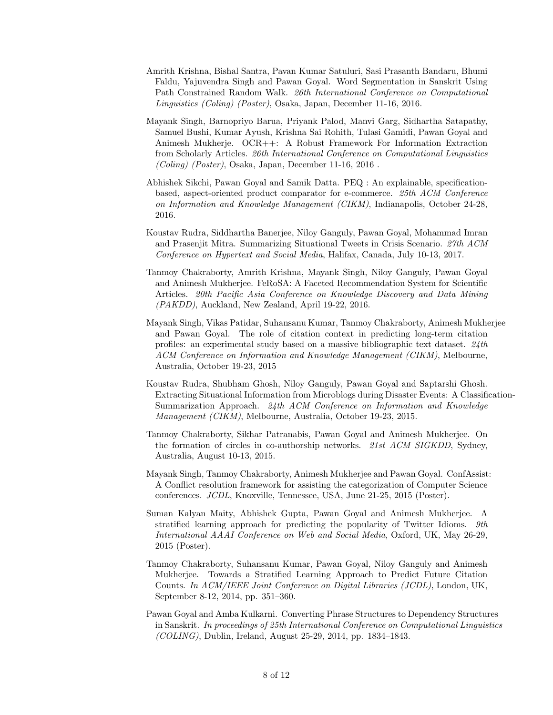- Amrith Krishna, Bishal Santra, Pavan Kumar Satuluri, Sasi Prasanth Bandaru, Bhumi Faldu, Yajuvendra Singh and Pawan Goyal. Word Segmentation in Sanskrit Using Path Constrained Random Walk. 26th International Conference on Computational Linguistics (Coling) (Poster), Osaka, Japan, December 11-16, 2016.
- Mayank Singh, Barnopriyo Barua, Priyank Palod, Manvi Garg, Sidhartha Satapathy, Samuel Bushi, Kumar Ayush, Krishna Sai Rohith, Tulasi Gamidi, Pawan Goyal and Animesh Mukherje. OCR++: A Robust Framework For Information Extraction from Scholarly Articles. 26th International Conference on Computational Linguistics  $(Coling)$  (Poster), Osaka, Japan, December 11-16, 2016.
- Abhishek Sikchi, Pawan Goyal and Samik Datta. PEQ : An explainable, specificationbased, aspect-oriented product comparator for e-commerce. 25th ACM Conference on Information and Knowledge Management (CIKM), Indianapolis, October 24-28, 2016.
- Koustav Rudra, Siddhartha Banerjee, Niloy Ganguly, Pawan Goyal, Mohammad Imran and Prasenjit Mitra. Summarizing Situational Tweets in Crisis Scenario. 27th ACM Conference on Hypertext and Social Media, Halifax, Canada, July 10-13, 2017.
- Tanmoy Chakraborty, Amrith Krishna, Mayank Singh, Niloy Ganguly, Pawan Goyal and Animesh Mukherjee. FeRoSA: A Faceted Recommendation System for Scientific Articles. 20th Pacific Asia Conference on Knowledge Discovery and Data Mining (PAKDD), Auckland, New Zealand, April 19-22, 2016.
- Mayank Singh, Vikas Patidar, Suhansanu Kumar, Tanmoy Chakraborty, Animesh Mukherjee and Pawan Goyal. The role of citation context in predicting long-term citation profiles: an experimental study based on a massive bibliographic text dataset. 24th ACM Conference on Information and Knowledge Management (CIKM), Melbourne, Australia, October 19-23, 2015
- Koustav Rudra, Shubham Ghosh, Niloy Ganguly, Pawan Goyal and Saptarshi Ghosh. Extracting Situational Information from Microblogs during Disaster Events: A Classification-Summarization Approach. 24th ACM Conference on Information and Knowledge Management (CIKM), Melbourne, Australia, October 19-23, 2015.
- Tanmoy Chakraborty, Sikhar Patranabis, Pawan Goyal and Animesh Mukherjee. On the formation of circles in co-authorship networks. 21st ACM SIGKDD, Sydney, Australia, August 10-13, 2015.
- Mayank Singh, Tanmoy Chakraborty, Animesh Mukherjee and Pawan Goyal. ConfAssist: A Conflict resolution framework for assisting the categorization of Computer Science conferences. JCDL, Knoxville, Tennessee, USA, June 21-25, 2015 (Poster).
- Suman Kalyan Maity, Abhishek Gupta, Pawan Goyal and Animesh Mukherjee. A stratified learning approach for predicting the popularity of Twitter Idioms. 9th International AAAI Conference on Web and Social Media, Oxford, UK, May 26-29, 2015 (Poster).
- Tanmoy Chakraborty, Suhansanu Kumar, Pawan Goyal, Niloy Ganguly and Animesh Mukherjee. Towards a Stratified Learning Approach to Predict Future Citation Counts. In ACM/IEEE Joint Conference on Digital Libraries (JCDL), London, UK, September 8-12, 2014, pp. 351–360.
- Pawan Goyal and Amba Kulkarni. Converting Phrase Structures to Dependency Structures in Sanskrit. In proceedings of 25th International Conference on Computational Linguistics  $(COLING)$ , Dublin, Ireland, August 25-29, 2014, pp. 1834–1843.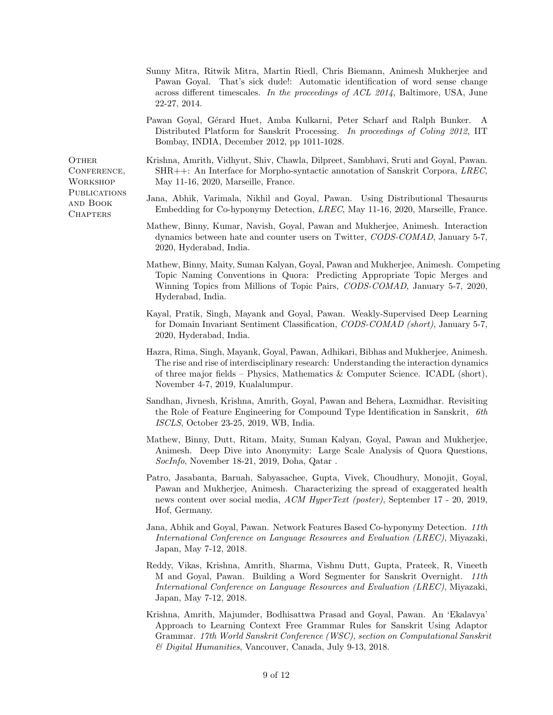- Sunny Mitra, Ritwik Mitra, Martin Riedl, Chris Biemann, Animesh Mukherjee and Pawan Goyal. That's sick dude!: Automatic identification of word sense change across different timescales. In the proceedings of ACL 2014, Baltimore, USA, June 22-27, 2014.
- Pawan Goyal, Gérard Huet, Amba Kulkarni, Peter Scharf and Ralph Bunker. A Distributed Platform for Sanskrit Processing. In proceedings of Coling 2012, IIT Bombay, INDIA, December 2012, pp 1011-1028.

**OTHER** CONFERENCE, **WORKSHOP PUBLICATIONS** and Book **CHAPTERS** 

- Krishna, Amrith, Vidhyut, Shiv, Chawla, Dilpreet, Sambhavi, Sruti and Goyal, Pawan. SHR++: An Interface for Morpho-syntactic annotation of Sanskrit Corpora, LREC, May 11-16, 2020, Marseille, France.
- Jana, Abhik, Varimala, Nikhil and Goyal, Pawan. Using Distributional Thesaurus Embedding for Co-hyponymy Detection, LREC, May 11-16, 2020, Marseille, France.
- Mathew, Binny, Kumar, Navish, Goyal, Pawan and Mukherjee, Animesh. Interaction dynamics between hate and counter users on Twitter, CODS-COMAD, January 5-7, 2020, Hyderabad, India.
- Mathew, Binny, Maity, Suman Kalyan, Goyal, Pawan and Mukherjee, Animesh. Competing Topic Naming Conventions in Quora: Predicting Appropriate Topic Merges and Winning Topics from Millions of Topic Pairs, CODS-COMAD, January 5-7, 2020, Hyderabad, India.
- Kayal, Pratik, Singh, Mayank and Goyal, Pawan. Weakly-Supervised Deep Learning for Domain Invariant Sentiment Classification, CODS-COMAD (short), January 5-7, 2020, Hyderabad, India.
- Hazra, Rima, Singh, Mayank, Goyal, Pawan, Adhikari, Bibhas and Mukherjee, Animesh. The rise and rise of interdisciplinary research: Understanding the interaction dynamics of three major fields – Physics, Mathematics & Computer Science. ICADL (short), November 4-7, 2019, Kualalumpur.
- Sandhan, Jivnesh, Krishna, Amrith, Goyal, Pawan and Behera, Laxmidhar. Revisiting the Role of Feature Engineering for Compound Type Identification in Sanskrit, 6th ISCLS, October 23-25, 2019, WB, India.
- Mathew, Binny, Dutt, Ritam, Maity, Suman Kalyan, Goyal, Pawan and Mukherjee, Animesh. Deep Dive into Anonymity: Large Scale Analysis of Quora Questions, SocInfo, November 18-21, 2019, Doha, Qatar .
- Patro, Jasabanta, Baruah, Sabyasachee, Gupta, Vivek, Choudhury, Monojit, Goyal, Pawan and Mukherjee, Animesh. Characterizing the spread of exaggerated health news content over social media, ACM HyperText (poster), September 17 - 20, 2019, Hof, Germany.
- Jana, Abhik and Goyal, Pawan. Network Features Based Co-hyponymy Detection. 11th International Conference on Language Resources and Evaluation (LREC), Miyazaki, Japan, May 7-12, 2018.
- Reddy, Vikas, Krishna, Amrith, Sharma, Vishnu Dutt, Gupta, Prateek, R, Vineeth M and Goyal, Pawan. Building a Word Segmenter for Sanskrit Overnight. 11th International Conference on Language Resources and Evaluation (LREC), Miyazaki, Japan, May 7-12, 2018.
- Krishna, Amrith, Majumder, Bodhisattwa Prasad and Goyal, Pawan. An 'Ekalavya' Approach to Learning Context Free Grammar Rules for Sanskrit Using Adaptor Grammar. 17th World Sanskrit Conference (WSC), section on Computational Sanskrit & Digital Humanities, Vancouver, Canada, July 9-13, 2018.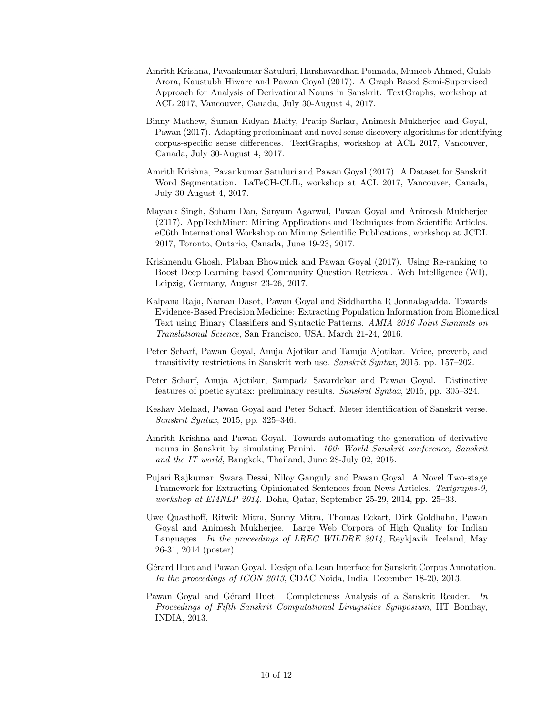- Amrith Krishna, Pavankumar Satuluri, Harshavardhan Ponnada, Muneeb Ahmed, Gulab Arora, Kaustubh Hiware and Pawan Goyal (2017). A Graph Based Semi-Supervised Approach for Analysis of Derivational Nouns in Sanskrit. TextGraphs, workshop at ACL 2017, Vancouver, Canada, July 30-August 4, 2017.
- Binny Mathew, Suman Kalyan Maity, Pratip Sarkar, Animesh Mukherjee and Goyal, Pawan (2017). Adapting predominant and novel sense discovery algorithms for identifying corpus-specific sense differences. TextGraphs, workshop at ACL 2017, Vancouver, Canada, July 30-August 4, 2017.
- Amrith Krishna, Pavankumar Satuluri and Pawan Goyal (2017). A Dataset for Sanskrit Word Segmentation. LaTeCH-CLfL, workshop at ACL 2017, Vancouver, Canada, July 30-August 4, 2017.
- Mayank Singh, Soham Dan, Sanyam Agarwal, Pawan Goyal and Animesh Mukherjee (2017). AppTechMiner: Mining Applications and Techniques from Scientific Articles. eC6th International Workshop on Mining Scientific Publications, workshop at JCDL 2017, Toronto, Ontario, Canada, June 19-23, 2017.
- Krishnendu Ghosh, Plaban Bhowmick and Pawan Goyal (2017). Using Re-ranking to Boost Deep Learning based Community Question Retrieval. Web Intelligence (WI), Leipzig, Germany, August 23-26, 2017.
- Kalpana Raja, Naman Dasot, Pawan Goyal and Siddhartha R Jonnalagadda. Towards Evidence-Based Precision Medicine: Extracting Population Information from Biomedical Text using Binary Classifiers and Syntactic Patterns. AMIA 2016 Joint Summits on Translational Science, San Francisco, USA, March 21-24, 2016.
- Peter Scharf, Pawan Goyal, Anuja Ajotikar and Tanuja Ajotikar. Voice, preverb, and transitivity restrictions in Sanskrit verb use. Sanskrit Syntax, 2015, pp. 157–202.
- Peter Scharf, Anuja Ajotikar, Sampada Savardekar and Pawan Goyal. Distinctive features of poetic syntax: preliminary results. Sanskrit Syntax, 2015, pp. 305–324.
- Keshav Melnad, Pawan Goyal and Peter Scharf. Meter identification of Sanskrit verse. Sanskrit Syntax, 2015, pp. 325–346.
- Amrith Krishna and Pawan Goyal. Towards automating the generation of derivative nouns in Sanskrit by simulating Panini. 16th World Sanskrit conference, Sanskrit and the IT world, Bangkok, Thailand, June 28-July 02, 2015.
- Pujari Rajkumar, Swara Desai, Niloy Ganguly and Pawan Goyal. A Novel Two-stage Framework for Extracting Opinionated Sentences from News Articles. Textgraphs-9, workshop at EMNLP 2014. Doha, Qatar, September 25-29, 2014, pp. 25–33.
- Uwe Quasthoff, Ritwik Mitra, Sunny Mitra, Thomas Eckart, Dirk Goldhahn, Pawan Goyal and Animesh Mukherjee. Large Web Corpora of High Quality for Indian Languages. In the proceedings of LREC WILDRE 2014, Reykjavik, Iceland, May 26-31, 2014 (poster).
- Gérard Huet and Pawan Goyal. Design of a Lean Interface for Sanskrit Corpus Annotation. In the proceedings of ICON 2013, CDAC Noida, India, December 18-20, 2013.
- Pawan Goyal and Gérard Huet. Completeness Analysis of a Sanskrit Reader. In Proceedings of Fifth Sanskrit Computational Linugistics Symposium, IIT Bombay, INDIA, 2013.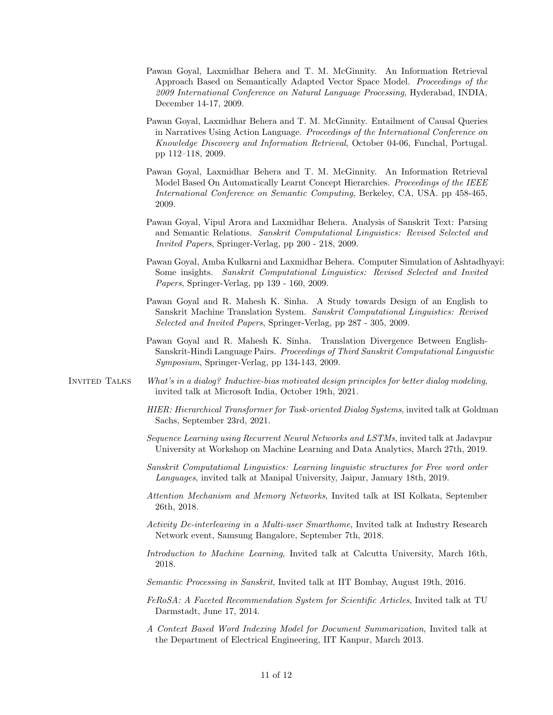- Pawan Goyal, Laxmidhar Behera and T. M. McGinnity. An Information Retrieval Approach Based on Semantically Adapted Vector Space Model. Proceedings of the 2009 International Conference on Natural Language Processing, Hyderabad, INDIA, December 14-17, 2009.
- Pawan Goyal, Laxmidhar Behera and T. M. McGinnity. Entailment of Causal Queries in Narratives Using Action Language. Proceedings of the International Conference on Knowledge Discovery and Information Retrieval, October 04-06, Funchal, Portugal. pp 112–118, 2009.
- Pawan Goyal, Laxmidhar Behera and T. M. McGinnity. An Information Retrieval Model Based On Automatically Learnt Concept Hierarchies. Proceedings of the IEEE International Conference on Semantic Computing, Berkeley, CA, USA. pp 458-465, 2009.
- Pawan Goyal, Vipul Arora and Laxmidhar Behera. Analysis of Sanskrit Text: Parsing and Semantic Relations. Sanskrit Computational Linguistics: Revised Selected and Invited Papers, Springer-Verlag, pp 200 - 218, 2009.
- Pawan Goyal, Amba Kulkarni and Laxmidhar Behera. Computer Simulation of Ashtadhyayi: Some insights. Sanskrit Computational Linguistics: Revised Selected and Invited Papers, Springer-Verlag, pp 139 - 160, 2009.
- Pawan Goyal and R. Mahesh K. Sinha. A Study towards Design of an English to Sanskrit Machine Translation System. Sanskrit Computational Linguistics: Revised Selected and Invited Papers, Springer-Verlag, pp 287 - 305, 2009.
- Pawan Goyal and R. Mahesh K. Sinha. Translation Divergence Between English-Sanskrit-Hindi Language Pairs. Proceedings of Third Sanskrit Computational Linguistic Symposium, Springer-Verlag, pp 134-143, 2009.
- Invited Talks What's in a dialog? Inductive-bias motivated design principles for better dialog modeling, invited talk at Microsoft India, October 19th, 2021.
	- HIER: Hierarchical Transformer for Task-oriented Dialog Systems, invited talk at Goldman Sachs, September 23rd, 2021.
	- Sequence Learning using Recurrent Neural Networks and LSTMs, invited talk at Jadavpur University at Workshop on Machine Learning and Data Analytics, March 27th, 2019.
	- Sanskrit Computational Linguistics: Learning linguistic structures for Free word order Languages, invited talk at Manipal University, Jaipur, January 18th, 2019.
	- Attention Mechanism and Memory Networks, Invited talk at ISI Kolkata, September 26th, 2018.
	- Activity De-interleaving in a Multi-user Smarthome, Invited talk at Industry Research Network event, Samsung Bangalore, September 7th, 2018.
	- Introduction to Machine Learning, Invited talk at Calcutta University, March 16th, 2018.
	- Semantic Processing in Sanskrit, Invited talk at IIT Bombay, August 19th, 2016.
	- FeRoSA: A Faceted Recommendation System for Scientific Articles, Invited talk at TU Darmstadt, June 17, 2014.
	- A Context Based Word Indexing Model for Document Summarization, Invited talk at the Department of Electrical Engineering, IIT Kanpur, March 2013.